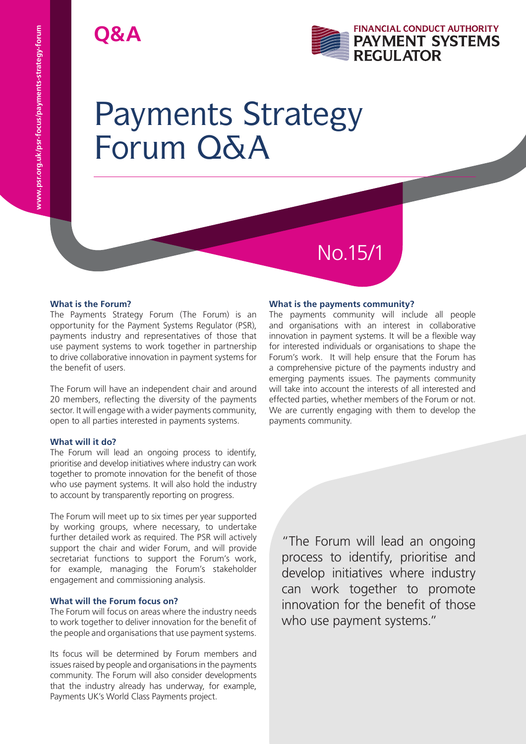# **Q&A**



# Payments Strategy Forum Q&A

# **What is the Forum?**

The Payments Strategy Forum (The Forum) is an opportunity for the Payment Systems Regulator (PSR), payments industry and representatives of those that use payment systems to work together in partnership to drive collaborative innovation in payment systems for the benefit of users.

The Forum will have an independent chair and around 20 members, reflecting the diversity of the payments sector. It will engage with a wider payments community, open to all parties interested in payments systems.

# **What will it do?**

The Forum will lead an ongoing process to identify, prioritise and develop initiatives where industry can work together to promote innovation for the benefit of those who use payment systems. It will also hold the industry to account by transparently reporting on progress.

The Forum will meet up to six times per year supported by working groups, where necessary, to undertake further detailed work as required. The PSR will actively support the chair and wider Forum, and will provide secretariat functions to support the Forum's work, for example, managing the Forum's stakeholder engagement and commissioning analysis.

# **What will the Forum focus on?**

The Forum will focus on areas where the industry needs to work together to deliver innovation for the benefit of the people and organisations that use payment systems.

Its focus will be determined by Forum members and issues raised by people and organisations in the payments community. The Forum will also consider developments that the industry already has underway, for example, Payments UK's World Class Payments project.

# **What is the payments community?**

No.15/1

The payments community will include all people and organisations with an interest in collaborative innovation in payment systems. It will be a flexible way for interested individuals or organisations to shape the Forum's work. It will help ensure that the Forum has a comprehensive picture of the payments industry and emerging payments issues. The payments community will take into account the interests of all interested and effected parties, whether members of the Forum or not. We are currently engaging with them to develop the payments community.

"The Forum will lead an ongoing process to identify, prioritise and develop initiatives where industry can work together to promote innovation for the benefit of those who use payment systems."